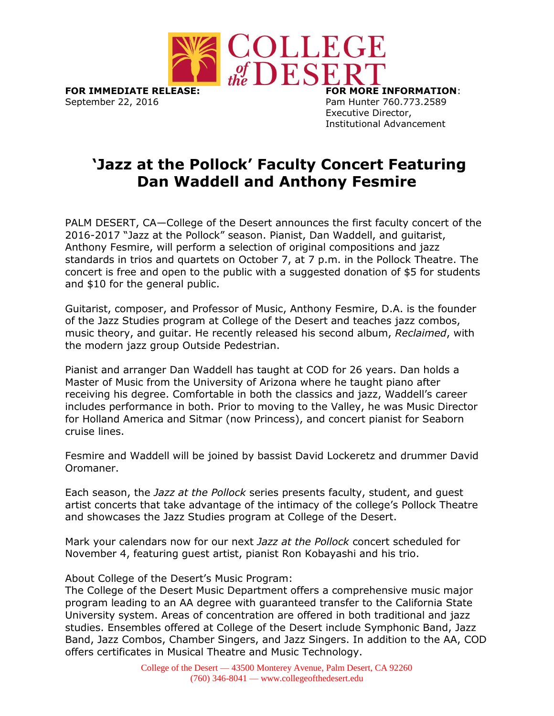

September 22, 2016 **Pam Hunter 760.773.2589** 

Executive Director, Institutional Advancement

## **'Jazz at the Pollock' Faculty Concert Featuring Dan Waddell and Anthony Fesmire**

PALM DESERT, CA—College of the Desert announces the first faculty concert of the 2016-2017 "Jazz at the Pollock" season. Pianist, Dan Waddell, and guitarist, Anthony Fesmire, will perform a selection of original compositions and jazz standards in trios and quartets on October 7, at 7 p.m. in the Pollock Theatre. The concert is free and open to the public with a suggested donation of \$5 for students and \$10 for the general public.

Guitarist, composer, and Professor of Music, Anthony Fesmire, D.A. is the founder of the Jazz Studies program at College of the Desert and teaches jazz combos, music theory, and guitar. He recently released his second album, *Reclaimed*, with the modern jazz group Outside Pedestrian.

Pianist and arranger Dan Waddell has taught at COD for 26 years. Dan holds a Master of Music from the University of Arizona where he taught piano after receiving his degree. Comfortable in both the classics and jazz, Waddell's career includes performance in both. Prior to moving to the Valley, he was Music Director for Holland America and Sitmar (now Princess), and concert pianist for Seaborn cruise lines.

Fesmire and Waddell will be joined by bassist David Lockeretz and drummer David Oromaner.

Each season, the *Jazz at the Pollock* series presents faculty, student, and guest artist concerts that take advantage of the intimacy of the college's Pollock Theatre and showcases the Jazz Studies program at College of the Desert.

Mark your calendars now for our next *Jazz at the Pollock* concert scheduled for November 4, featuring guest artist, pianist Ron Kobayashi and his trio.

About College of the Desert's Music Program:

The College of the Desert Music Department offers a comprehensive music major program leading to an AA degree with guaranteed transfer to the California State University system. Areas of concentration are offered in both traditional and jazz studies. Ensembles offered at College of the Desert include Symphonic Band, Jazz Band, Jazz Combos, Chamber Singers, and Jazz Singers. In addition to the AA, COD offers certificates in Musical Theatre and Music Technology.